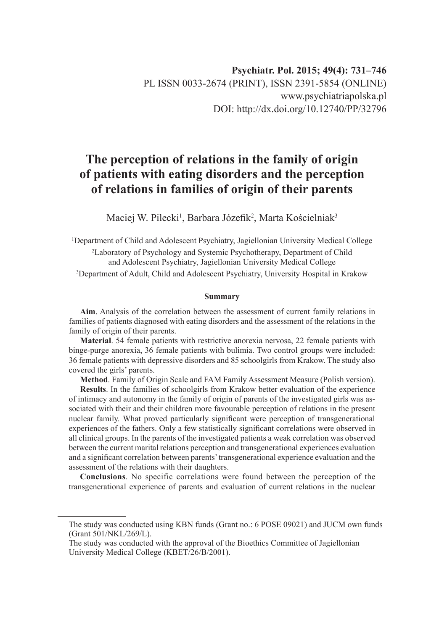# **The perception of relations in the family of origin of patients with eating disorders and the perception of relations in families of origin of their parents**

Maciej W. Pilecki<sup>1</sup>, Barbara Józefik<sup>2</sup>, Marta Kościelniak<sup>3</sup>

 Department of Child and Adolescent Psychiatry, Jagiellonian University Medical College Laboratory of Psychology and Systemic Psychotherapy, Department of Child and Adolescent Psychiatry, Jagiellonian University Medical College Department of Adult, Child and Adolescent Psychiatry, University Hospital in Krakow

#### **Summary**

**Aim**. Analysis of the correlation between the assessment of current family relations in families of patients diagnosed with eating disorders and the assessment of the relations in the family of origin of their parents.

**Material**. 54 female patients with restrictive anorexia nervosa, 22 female patients with binge-purge anorexia, 36 female patients with bulimia. Two control groups were included: 36 female patients with depressive disorders and 85 schoolgirls from Krakow. The study also covered the girls' parents.

**Method**. Family of Origin Scale and FAM Family Assessment Measure (Polish version).

**Results**. In the families of schoolgirls from Krakow better evaluation of the experience of intimacy and autonomy in the family of origin of parents of the investigated girls was associated with their and their children more favourable perception of relations in the present nuclear family. What proved particularly significant were perception of transgenerational experiences of the fathers. Only a few statistically significant correlations were observed in all clinical groups. In the parents of the investigated patients a weak correlation was observed between the current marital relations perception and transgenerational experiences evaluation and a significant correlation between parents' transgenerational experience evaluation and the assessment of the relations with their daughters.

**Conclusions**. No specific correlations were found between the perception of the transgenerational experience of parents and evaluation of current relations in the nuclear

The study was conducted using KBN funds (Grant no.: 6 POSE 09021) and JUCM own funds (Grant 501/NKL/269/L).

The study was conducted with the approval of the Bioethics Committee of Jagiellonian University Medical College (KBET/26/B/2001).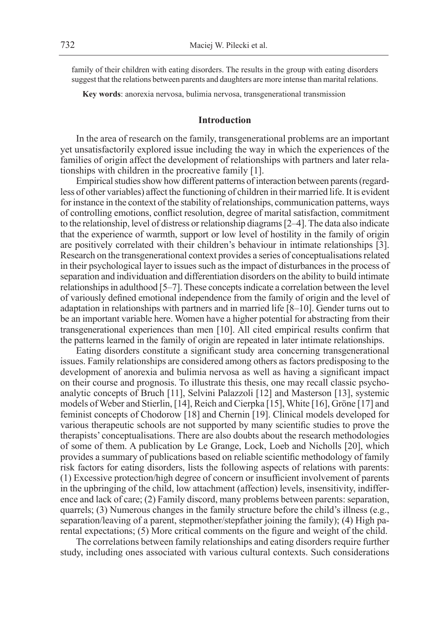family of their children with eating disorders. The results in the group with eating disorders suggest that the relations between parents and daughters are more intense than marital relations.

**Key words**: anorexia nervosa, bulimia nervosa, transgenerational transmission

# **Introduction**

In the area of research on the family, transgenerational problems are an important yet unsatisfactorily explored issue including the way in which the experiences of the families of origin affect the development of relationships with partners and later relationships with children in the procreative family [1].

Empirical studies show how different patterns of interaction between parents (regardless of other variables) affect the functioning of children in their married life. It is evident for instance in the context of the stability of relationships, communication patterns, ways of controlling emotions, conflict resolution, degree of marital satisfaction, commitment to the relationship, level of distress or relationship diagrams [2–4]. The data also indicate that the experience of warmth, support or low level of hostility in the family of origin are positively correlated with their children's behaviour in intimate relationships [3]. Research on the transgenerational context provides a series of conceptualisations related in their psychological layer to issues such as the impact of disturbances in the process of separation and individuation and differentiation disorders on the ability to build intimate relationships in adulthood [5–7]. These concepts indicate a correlation between the level of variously defined emotional independence from the family of origin and the level of adaptation in relationships with partners and in married life [8–10]. Gender turns out to be an important variable here. Women have a higher potential for abstracting from their transgenerational experiences than men [10]. All cited empirical results confirm that the patterns learned in the family of origin are repeated in later intimate relationships.

Eating disorders constitute a significant study area concerning transgenerational issues. Family relationships are considered among others as factors predisposing to the development of anorexia and bulimia nervosa as well as having a significant impact on their course and prognosis. To illustrate this thesis, one may recall classic psychoanalytic concepts of Bruch [11], Selvini Palazzoli [12] and Masterson [13], systemic models of Weber and Stierlin, [14], Reich and Cierpka [15], White [16], Gröne [17] and feminist concepts of Chodorow [18] and Chernin [19]. Clinical models developed for various therapeutic schools are not supported by many scientific studies to prove the therapists' conceptualisations. There are also doubts about the research methodologies of some of them. A publication by Le Grange, Lock, Loeb and Nicholls [20], which provides a summary of publications based on reliable scientific methodology of family risk factors for eating disorders, lists the following aspects of relations with parents: (1) Excessive protection/high degree of concern or insufficient involvement of parents in the upbringing of the child, low attachment (affection) levels, insensitivity, indifference and lack of care; (2) Family discord, many problems between parents: separation, quarrels; (3) Numerous changes in the family structure before the child's illness (e.g., separation/leaving of a parent, stepmother/stepfather joining the family); (4) High parental expectations; (5) More critical comments on the figure and weight of the child.

The correlations between family relationships and eating disorders require further study, including ones associated with various cultural contexts. Such considerations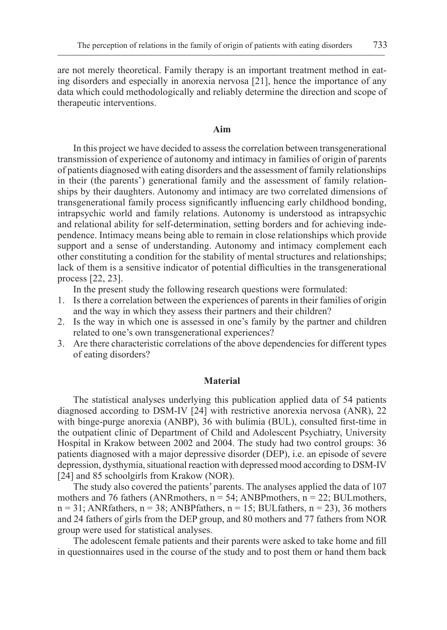are not merely theoretical. Family therapy is an important treatment method in eating disorders and especially in anorexia nervosa [21], hence the importance of any data which could methodologically and reliably determine the direction and scope of therapeutic interventions.

#### **Aim**

In this project we have decided to assess the correlation between transgenerational transmission of experience of autonomy and intimacy in families of origin of parents of patients diagnosed with eating disorders and the assessment of family relationships in their (the parents') generational family and the assessment of family relationships by their daughters. Autonomy and intimacy are two correlated dimensions of transgenerational family process significantly influencing early childhood bonding, intrapsychic world and family relations. Autonomy is understood as intrapsychic and relational ability for self-determination, setting borders and for achieving independence. Intimacy means being able to remain in close relationships which provide support and a sense of understanding. Autonomy and intimacy complement each other constituting a condition for the stability of mental structures and relationships; lack of them is a sensitive indicator of potential difficulties in the transgenerational process [22, 23].

In the present study the following research questions were formulated:

- 1. Is there a correlation between the experiences of parents in their families of origin and the way in which they assess their partners and their children?
- 2. Is the way in which one is assessed in one's family by the partner and children related to one's own transgenerational experiences?
- 3. Are there characteristic correlations of the above dependencies for different types of eating disorders?

#### **Material**

The statistical analyses underlying this publication applied data of 54 patients diagnosed according to DSM-IV [24] with restrictive anorexia nervosa (ANR), 22 with binge-purge anorexia (ANBP), 36 with bulimia (BUL), consulted first-time in the outpatient clinic of Department of Child and Adolescent Psychiatry, University Hospital in Krakow between 2002 and 2004. The study had two control groups: 36 patients diagnosed with a major depressive disorder (DEP), i.e. an episode of severe depression, dysthymia, situational reaction with depressed mood according to DSM-IV [24] and 85 schoolgirls from Krakow (NOR).

The study also covered the patients' parents. The analyses applied the data of 107 mothers and 76 fathers (ANRmothers,  $n = 54$ ; ANBPmothers,  $n = 22$ ; BULmothers,  $n = 31$ ; ANRfathers,  $n = 38$ ; ANBPfathers,  $n = 15$ ; BULfathers,  $n = 23$ ), 36 mothers and 24 fathers of girls from the DEP group, and 80 mothers and 77 fathers from NOR group were used for statistical analyses.

The adolescent female patients and their parents were asked to take home and fill in questionnaires used in the course of the study and to post them or hand them back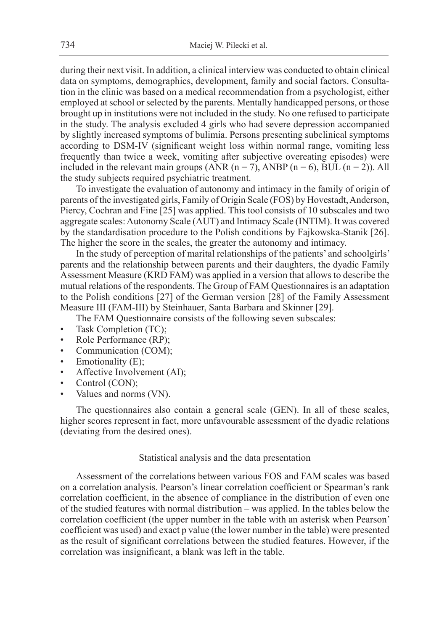during their next visit. In addition, a clinical interview was conducted to obtain clinical data on symptoms, demographics, development, family and social factors. Consultation in the clinic was based on a medical recommendation from a psychologist, either employed at school or selected by the parents. Mentally handicapped persons, or those brought up in institutions were not included in the study. No one refused to participate in the study. The analysis excluded 4 girls who had severe depression accompanied by slightly increased symptoms of bulimia. Persons presenting subclinical symptoms according to DSM-IV (significant weight loss within normal range, vomiting less frequently than twice a week, vomiting after subjective overeating episodes) were included in the relevant main groups (ANR  $(n = 7)$ , ANBP  $(n = 6)$ , BUL  $(n = 2)$ ). All the study subjects required psychiatric treatment.

To investigate the evaluation of autonomy and intimacy in the family of origin of parents of the investigated girls, Family of Origin Scale (FOS) by Hovestadt, Anderson, Piercy, Cochran and Fine [25] was applied. This tool consists of 10 subscales and two aggregate scales: Autonomy Scale (AUT) and Intimacy Scale (INTIM). It was covered by the standardisation procedure to the Polish conditions by Fajkowska-Stanik [26]. The higher the score in the scales, the greater the autonomy and intimacy.

In the study of perception of marital relationships of the patients' and schoolgirls' parents and the relationship between parents and their daughters, the dyadic Family Assessment Measure (KRD FAM) was applied in a version that allows to describe the mutual relations of the respondents. The Group of FAM Questionnaires is an adaptation to the Polish conditions [27] of the German version [28] of the Family Assessment Measure III (FAM-III) by Steinhauer, Santa Barbara and Skinner [29].

The FAM Questionnaire consists of the following seven subscales:

- Task Completion (TC);
- Role Performance (RP);
- Communication (COM);
- Emotionality (E);
- Affective Involvement (AI);
- Control (CON);
- Values and norms (VN).

The questionnaires also contain a general scale (GEN). In all of these scales, higher scores represent in fact, more unfavourable assessment of the dyadic relations (deviating from the desired ones).

# Statistical analysis and the data presentation

Assessment of the correlations between various FOS and FAM scales was based on a correlation analysis. Pearson's linear correlation coefficient or Spearman's rank correlation coefficient, in the absence of compliance in the distribution of even one of the studied features with normal distribution – was applied. In the tables below the correlation coefficient (the upper number in the table with an asterisk when Pearson' coefficient was used) and exact p value (the lower number in the table) were presented as the result of significant correlations between the studied features. However, if the correlation was insignificant, a blank was left in the table.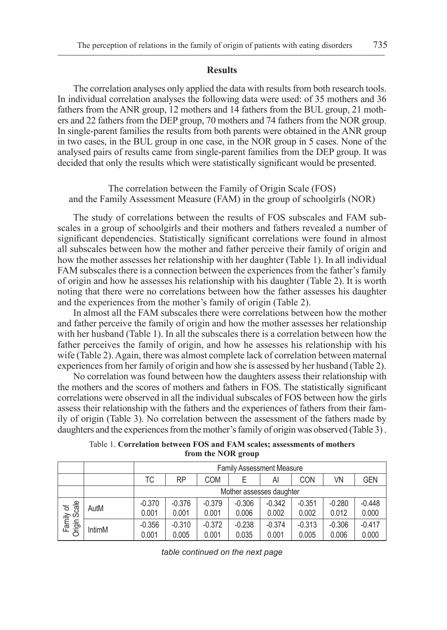#### **Results**

The correlation analyses only applied the data with results from both research tools. In individual correlation analyses the following data were used: of 35 mothers and 36 fathers from the ANR group, 12 mothers and 14 fathers from the BUL group, 21 mothers and 22 fathers from the DEP group, 70 mothers and 74 fathers from the NOR group. In single-parent families the results from both parents were obtained in the ANR group in two cases, in the BUL group in one case, in the NOR group in 5 cases. None of the analysed pairs of results came from single-parent families from the DEP group. It was decided that only the results which were statistically significant would be presented.

The correlation between the Family of Origin Scale (FOS) and the Family Assessment Measure (FAM) in the group of schoolgirls (NOR)

The study of correlations between the results of FOS subscales and FAM subscales in a group of schoolgirls and their mothers and fathers revealed a number of significant dependencies. Statistically significant correlations were found in almost all subscales between how the mother and father perceive their family of origin and how the mother assesses her relationship with her daughter (Table 1). In all individual FAM subscales there is a connection between the experiences from the father's family of origin and how he assesses his relationship with his daughter (Table 2). It is worth noting that there were no correlations between how the father assesses his daughter and the experiences from the mother's family of origin (Table 2).

In almost all the FAM subscales there were correlations between how the mother and father perceive the family of origin and how the mother assesses her relationship with her husband (Table 1). In all the subscales there is a correlation between how the father perceives the family of origin, and how he assesses his relationship with his wife (Table 2). Again, there was almost complete lack of correlation between maternal experiences from her family of origin and how she is assessed by her husband (Table 2).

No correlation was found between how the daughters assess their relationship with the mothers and the scores of mothers and fathers in FOS. The statistically significant correlations were observed in all the individual subscales of FOS between how the girls assess their relationship with the fathers and the experiences of fathers from their family of origin (Table 3). No correlation between the assessment of the fathers made by daughters and the experiences from the mother's family of origin was observed (Table 3) .

|  |                    |  | Table 1. Correlation between FOS and FAM scales; assessments of mothers |  |
|--|--------------------|--|-------------------------------------------------------------------------|--|
|  | from the NOR group |  |                                                                         |  |

|                          |               |                   | <b>Family Assessment Measure</b> |                   |                          |                   |                   |                   |                   |  |  |  |
|--------------------------|---------------|-------------------|----------------------------------|-------------------|--------------------------|-------------------|-------------------|-------------------|-------------------|--|--|--|
|                          |               | ТC                | RP                               | COM               |                          | Al                | <b>CON</b>        | VN                | <b>GEN</b>        |  |  |  |
|                          |               |                   |                                  |                   | Mother assesses daughter |                   |                   |                   |                   |  |  |  |
| Family of<br>Inqin Scale | AutM          | $-0.370$<br>0.001 | $-0.376$<br>0.001                | $-0.379$<br>0.001 | $-0.306$<br>0.006        | $-0.342$<br>0.002 | $-0.351$<br>0.002 | $-0.280$<br>0.012 | $-0.448$<br>0.000 |  |  |  |
| Origin                   | <b>IntimM</b> | $-0.356$<br>0.001 | $-0.310$<br>0.005                | $-0.372$<br>0.001 | $-0.238$<br>0.035        | $-0.374$<br>0.001 | $-0.313$<br>0.005 | $-0.306$<br>0.006 | $-0.417$<br>0.000 |  |  |  |

*table continued on the next page*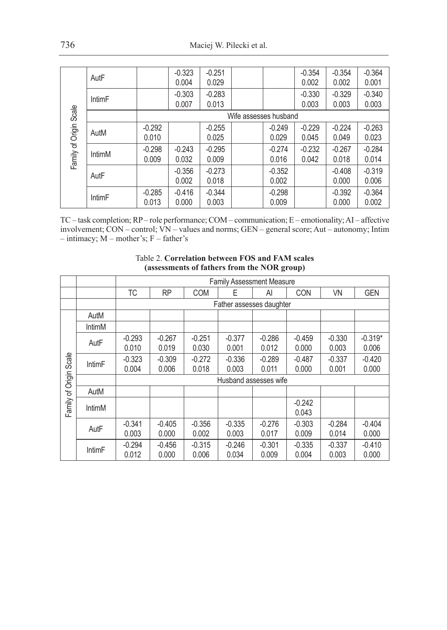|                  | AutF          |                   | $-0.323$<br>0.004 | $-0.251$<br>0.029 |                       |                   | $-0.354$<br>0.002 | $-0.354$<br>0.002 | $-0.364$<br>0.001 |
|------------------|---------------|-------------------|-------------------|-------------------|-----------------------|-------------------|-------------------|-------------------|-------------------|
|                  | <b>IntimF</b> |                   | $-0.303$<br>0.007 | $-0.283$<br>0.013 |                       |                   | $-0.330$<br>0.003 | $-0.329$<br>0.003 | $-0.340$<br>0.003 |
| Scale            |               |                   |                   |                   | Wife assesses husband |                   |                   |                   |                   |
|                  | AutM          | $-0.292$<br>0.010 |                   | $-0.255$<br>0.025 |                       | $-0.249$<br>0.029 | $-0.229$<br>0.045 | $-0.224$<br>0.049 | $-0.263$<br>0.023 |
| Family of Origin | IntimM        | $-0.298$<br>0.009 | $-0.243$<br>0.032 | $-0.295$<br>0.009 |                       | $-0.274$<br>0.016 | $-0.232$<br>0.042 | $-0.267$<br>0.018 | $-0.284$<br>0.014 |
|                  | AutF          |                   | $-0.356$<br>0.002 | $-0.273$<br>0.018 |                       | $-0.352$<br>0.002 |                   | $-0.408$<br>0.000 | $-0.319$<br>0.006 |
|                  | <b>IntimF</b> | $-0.285$<br>0.013 | $-0.416$<br>0.000 | $-0.344$<br>0.003 |                       | $-0.298$<br>0.009 |                   | $-0.392$<br>0.000 | $-0.364$<br>0.002 |

TC – task completion; RP – role performance; COM – communication; E – emotionality; AI – affective involvement; CON – control; VN – values and norms; GEN – general score; Aut – autonomy; Intim  $-$  intimacy;  $M$  – mother's;  $F$  – father's

|                  |               |                   |                   |                   | <b>Family Assessment Measure</b> |                   |                   |                   |                    |
|------------------|---------------|-------------------|-------------------|-------------------|----------------------------------|-------------------|-------------------|-------------------|--------------------|
|                  |               | ТC                | RP                | <b>COM</b>        | Ε                                | Al                | <b>CON</b>        | VN                | <b>GEN</b>         |
|                  |               |                   |                   |                   | Father assesses daughter         |                   |                   |                   |                    |
|                  | AutM          |                   |                   |                   |                                  |                   |                   |                   |                    |
|                  | IntimM        |                   |                   |                   |                                  |                   |                   |                   |                    |
|                  | AutF          | $-0.293$<br>0.010 | $-0.267$<br>0.019 | $-0.251$<br>0.030 | $-0.377$<br>0.001                | $-0.286$<br>0.012 | $-0.459$<br>0.000 | $-0.330$<br>0.003 | $-0.319*$<br>0.006 |
| Scale            | <b>IntimF</b> | $-0.323$<br>0.004 | $-0.309$<br>0.006 | $-0.272$<br>0.018 | $-0.336$<br>0.003                | $-0.289$<br>0.011 | $-0.487$<br>0.000 | $-0.337$<br>0.001 | $-0.420$<br>0.000  |
|                  |               |                   |                   |                   | Husband assesses wife            |                   |                   |                   |                    |
|                  | AutM          |                   |                   |                   |                                  |                   |                   |                   |                    |
| Family of Origin | IntimM        |                   |                   |                   |                                  |                   | $-0.242$<br>0.043 |                   |                    |
|                  | AutF          | $-0.341$<br>0.003 | $-0.405$<br>0.000 | $-0.356$<br>0.002 | $-0.335$<br>0.003                | $-0.276$<br>0.017 | $-0.303$<br>0.009 | $-0.284$<br>0.014 | $-0.404$<br>0.000  |
|                  | <b>IntimF</b> | $-0.294$<br>0.012 | $-0.456$<br>0.000 | $-0.315$<br>0.006 | $-0.246$<br>0.034                | $-0.301$<br>0.009 | $-0.335$<br>0.004 | $-0.337$<br>0.003 | $-0.410$<br>0.000  |

## Table 2. **Correlation between FOS and FAM scales (assessments of fathers from the NOR group)**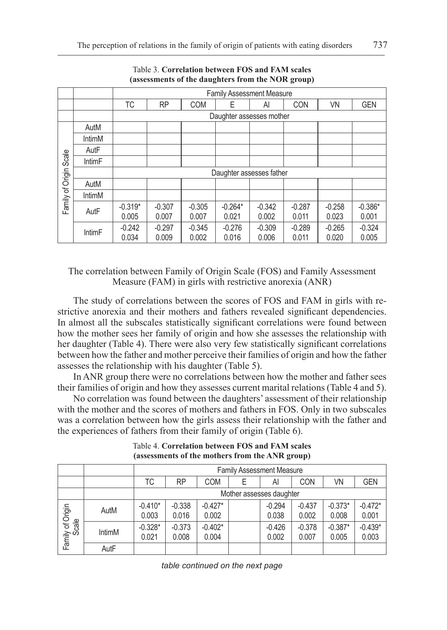|                 |               |           |                          |            |           | <b>Family Assessment Measure</b> |            |          |            |  |  |  |
|-----------------|---------------|-----------|--------------------------|------------|-----------|----------------------------------|------------|----------|------------|--|--|--|
|                 |               | ТC        | <b>RP</b>                | <b>COM</b> | Е         | Al                               | <b>CON</b> | VN       | <b>GEN</b> |  |  |  |
|                 |               |           |                          |            |           | Daughter assesses mother         |            |          |            |  |  |  |
|                 | AutM          |           |                          |            |           |                                  |            |          |            |  |  |  |
|                 | IntimM        |           |                          |            |           |                                  |            |          |            |  |  |  |
|                 | AutF          |           |                          |            |           |                                  |            |          |            |  |  |  |
| Scale           | <b>IntimF</b> |           |                          |            |           |                                  |            |          |            |  |  |  |
|                 |               |           | Daughter assesses father |            |           |                                  |            |          |            |  |  |  |
|                 | AutM          |           |                          |            |           |                                  |            |          |            |  |  |  |
| amily of Origin | IntimM        |           |                          |            |           |                                  |            |          |            |  |  |  |
|                 | AutF          | $-0.319*$ | $-0.307$                 | $-0.305$   | $-0.264*$ | $-0.342$                         | $-0.287$   | $-0.258$ | $-0.386*$  |  |  |  |
| ட               |               | 0.005     | 0.007                    | 0.007      | 0.021     | 0.002                            | 0.011      | 0.023    | 0.001      |  |  |  |
|                 | <b>IntimF</b> | $-0.242$  | $-0.297$                 | $-0.345$   | $-0.276$  | $-0.309$                         | $-0.289$   | $-0.265$ | $-0.324$   |  |  |  |
|                 |               | 0.034     | 0.009                    | 0.002      | 0.016     | 0.006                            | 0.011      | 0.020    | 0.005      |  |  |  |

## Table 3. **Correlation between FOS and FAM scales (assessments of the daughters from the NOR group)**

The correlation between Family of Origin Scale (FOS) and Family Assessment Measure (FAM) in girls with restrictive anorexia (ANR)

The study of correlations between the scores of FOS and FAM in girls with restrictive anorexia and their mothers and fathers revealed significant dependencies. In almost all the subscales statistically significant correlations were found between how the mother sees her family of origin and how she assesses the relationship with her daughter (Table 4). There were also very few statistically significant correlations between how the father and mother perceive their families of origin and how the father assesses the relationship with his daughter (Table 5).

In ANR group there were no correlations between how the mother and father sees their families of origin and how they assesses current marital relations (Table 4 and 5).

No correlation was found between the daughters' assessment of their relationship with the mother and the scores of mothers and fathers in FOS. Only in two subscales was a correlation between how the girls assess their relationship with the father and the experiences of fathers from their family of origin (Table 6).

|                           |               |                    | <b>Family Assessment Measure</b> |                    |   |                          |                   |                    |                    |  |  |  |
|---------------------------|---------------|--------------------|----------------------------------|--------------------|---|--------------------------|-------------------|--------------------|--------------------|--|--|--|
|                           |               | ТC                 | RP                               | COM                | Е | Al                       | <b>CON</b>        | VN                 | <b>GEN</b>         |  |  |  |
|                           |               |                    |                                  |                    |   | Mother assesses daughter |                   |                    |                    |  |  |  |
|                           | AutM          | $-0.410*$<br>0.003 | $-0.338$<br>0.016                | $-0.427*$<br>0.002 |   | $-0.294$<br>0.038        | $-0.437$<br>0.002 | $-0.373*$<br>0.008 | $-0.472*$<br>0.001 |  |  |  |
| Family of Origin<br>Scale | <b>IntimM</b> | $-0.328*$<br>0.021 | $-0.373$<br>0.008                | $-0.402*$<br>0.004 |   | $-0.426$<br>0.002        | $-0.378$<br>0.007 | $-0.387*$<br>0.005 | $-0.439*$<br>0.003 |  |  |  |
|                           | AutF          |                    |                                  |                    |   |                          |                   |                    |                    |  |  |  |

Table 4. **Correlation between FOS and FAM scales (assessments of the mothers from the ANR group)**

*table continued on the next page*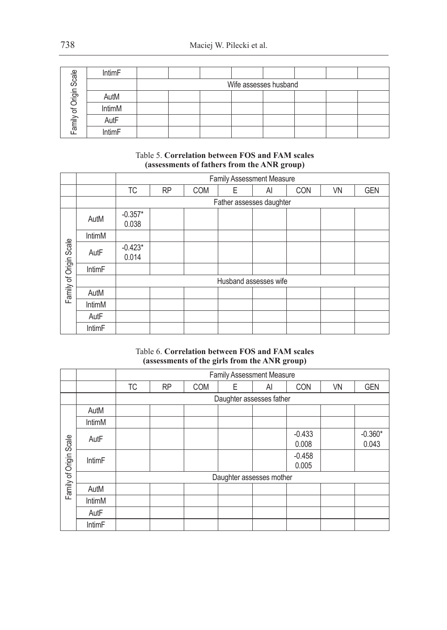| Scale     | <b>IntimF</b> |  |                       |  |  |
|-----------|---------------|--|-----------------------|--|--|
|           |               |  | Wife assesses husband |  |  |
| of Origin | AutM          |  |                       |  |  |
|           | IntimM        |  |                       |  |  |
| amily     | AutF          |  |                       |  |  |
|           | IntimF        |  |                       |  |  |

Table 5. **Correlation between FOS and FAM scales (assessments of fathers from the ANR group)**

|                        |               |                    |                          |            |   | Family Assessment Measure |            |           |            |  |  |
|------------------------|---------------|--------------------|--------------------------|------------|---|---------------------------|------------|-----------|------------|--|--|
|                        |               | <b>TC</b>          | <b>RP</b>                | <b>COM</b> | Ε | Al                        | <b>CON</b> | <b>VN</b> | <b>GEN</b> |  |  |
|                        |               |                    | Father assesses daughter |            |   |                           |            |           |            |  |  |
|                        | AutM          | $-0.357*$<br>0.038 |                          |            |   |                           |            |           |            |  |  |
|                        | IntimM        |                    |                          |            |   |                           |            |           |            |  |  |
| Family of Origin Scale | AutF          | $-0.423*$<br>0.014 |                          |            |   |                           |            |           |            |  |  |
|                        | IntimF        |                    |                          |            |   |                           |            |           |            |  |  |
|                        |               |                    |                          |            |   | Husband assesses wife     |            |           |            |  |  |
|                        | AutM          |                    |                          |            |   |                           |            |           |            |  |  |
|                        | IntimM        |                    |                          |            |   |                           |            |           |            |  |  |
|                        | AutF          |                    |                          |            |   |                           |            |           |            |  |  |
|                        | <b>IntimF</b> |                    |                          |            |   |                           |            |           |            |  |  |

## Table 6. **Correlation between FOS and FAM scales (assessments of the girls from the ANR group)**

|                        |               |    |           |            |   | <b>Family Assessment Measure</b> |                   |           |                    |
|------------------------|---------------|----|-----------|------------|---|----------------------------------|-------------------|-----------|--------------------|
|                        |               | ТC | <b>RP</b> | <b>COM</b> | E | AI                               | <b>CON</b>        | <b>VN</b> | <b>GEN</b>         |
|                        |               |    |           |            |   | Daughter assesses father         |                   |           |                    |
|                        | AutM          |    |           |            |   |                                  |                   |           |                    |
|                        | IntimM        |    |           |            |   |                                  |                   |           |                    |
|                        | AutF          |    |           |            |   |                                  | $-0.433$<br>0.008 |           | $-0.360*$<br>0.043 |
| Family of Origin Scale | <b>IntimF</b> |    |           |            |   |                                  | $-0.458$<br>0.005 |           |                    |
|                        |               |    |           |            |   | Daughter assesses mother         |                   |           |                    |
|                        | AutM          |    |           |            |   |                                  |                   |           |                    |
|                        | IntimM        |    |           |            |   |                                  |                   |           |                    |
|                        | AutF          |    |           |            |   |                                  |                   |           |                    |
|                        | <b>IntimF</b> |    |           |            |   |                                  |                   |           |                    |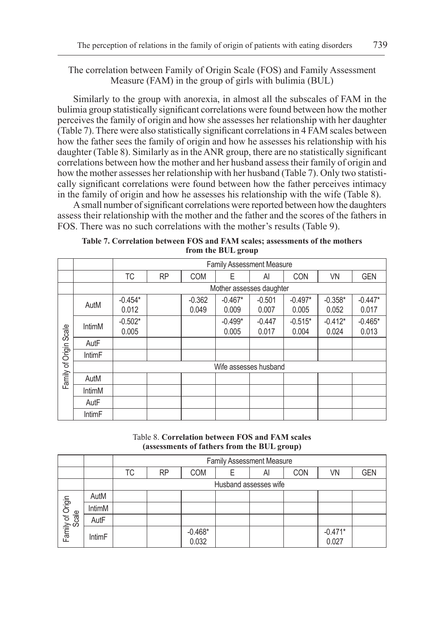# The correlation between Family of Origin Scale (FOS) and Family Assessment Measure (FAM) in the group of girls with bulimia (BUL)

Similarly to the group with anorexia, in almost all the subscales of FAM in the bulimia group statistically significant correlations were found between how the mother perceives the family of origin and how she assesses her relationship with her daughter (Table 7). There were also statistically significant correlations in 4 FAM scales between how the father sees the family of origin and how he assesses his relationship with his daughter (Table 8). Similarly as in the ANR group, there are no statistically significant correlations between how the mother and her husband assess their family of origin and how the mother assesses her relationship with her husband (Table 7). Only two statistically significant correlations were found between how the father perceives intimacy in the family of origin and how he assesses his relationship with the wife (Table 8).

A small number of significant correlations were reported between how the daughters assess their relationship with the mother and the father and the scores of the fathers in FOS. There was no such correlations with the mother's results (Table 9).

**Table 7. Correlation between FOS and FAM scales; assessments of the mothers from the BUL group**

|                        |               |           |                          |            | <b>Family Assessment Measure</b> |          |            |           |            |  |  |  |
|------------------------|---------------|-----------|--------------------------|------------|----------------------------------|----------|------------|-----------|------------|--|--|--|
|                        |               | ТC        | <b>RP</b>                | <b>COM</b> | Е                                | Al       | <b>CON</b> | <b>VN</b> | <b>GEN</b> |  |  |  |
|                        |               |           | Mother assesses daughter |            |                                  |          |            |           |            |  |  |  |
|                        | AutM          | $-0.454*$ |                          | $-0.362$   | $-0.467*$                        | $-0.501$ | $-0.497*$  | $-0.358*$ | $-0.447*$  |  |  |  |
|                        |               | 0.012     |                          | 0.049      | 0.009                            | 0.007    | 0.005      | 0.052     | 0.017      |  |  |  |
|                        | IntimM        | $-0.502*$ |                          |            | $-0.499*$                        | $-0.447$ | $-0.515*$  | $-0.412*$ | $-0.465*$  |  |  |  |
|                        |               | 0.005     |                          |            | 0.005                            | 0.017    | 0.004      | 0.024     | 0.013      |  |  |  |
| Family of Origin Scale | AutF          |           |                          |            |                                  |          |            |           |            |  |  |  |
|                        | <b>IntimF</b> |           |                          |            |                                  |          |            |           |            |  |  |  |
|                        |               |           |                          |            | Wife assesses husband            |          |            |           |            |  |  |  |
|                        | AutM          |           |                          |            |                                  |          |            |           |            |  |  |  |
|                        | IntimM        |           |                          |            |                                  |          |            |           |            |  |  |  |
|                        | AutF          |           |                          |            |                                  |          |            |           |            |  |  |  |
|                        | <b>IntimF</b> |           |                          |            |                                  |          |            |           |            |  |  |  |

Table 8. **Correlation between FOS and FAM scales (assessments of fathers from the BUL group)**

|                           |               |    | <b>Family Assessment Measure</b> |                    |  |                       |            |                    |            |  |  |  |  |
|---------------------------|---------------|----|----------------------------------|--------------------|--|-----------------------|------------|--------------------|------------|--|--|--|--|
|                           |               | ТC | <b>RP</b>                        | <b>COM</b>         |  | Al                    | <b>CON</b> | VN                 | <b>GEN</b> |  |  |  |  |
|                           |               |    |                                  |                    |  | Husband assesses wife |            |                    |            |  |  |  |  |
|                           | AutM          |    |                                  |                    |  |                       |            |                    |            |  |  |  |  |
|                           | IntimM        |    |                                  |                    |  |                       |            |                    |            |  |  |  |  |
|                           | AutF          |    |                                  |                    |  |                       |            |                    |            |  |  |  |  |
| Family of Origin<br>Scale | <b>IntimF</b> |    |                                  | $-0.468*$<br>0.032 |  |                       |            | $-0.471*$<br>0.027 |            |  |  |  |  |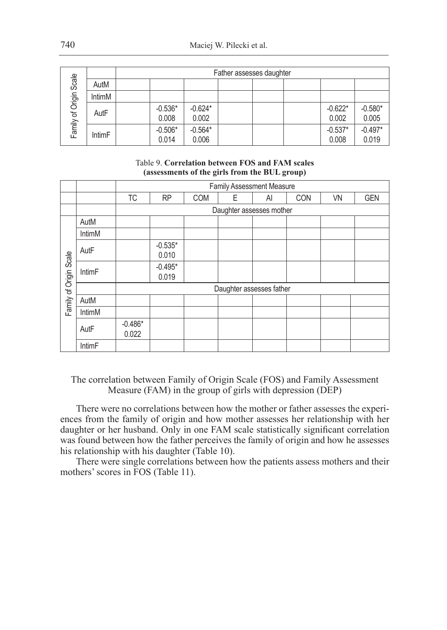|             |               | Father assesses daughter |                    |                    |  |  |  |                    |                    |  |  |  |
|-------------|---------------|--------------------------|--------------------|--------------------|--|--|--|--------------------|--------------------|--|--|--|
| Scale       | AutM          |                          |                    |                    |  |  |  |                    |                    |  |  |  |
|             | IntimM        |                          |                    |                    |  |  |  |                    |                    |  |  |  |
| of Origin ! | AutF          |                          | $-0.536*$<br>0.008 | $-0.624*$<br>0.002 |  |  |  | $-0.622*$<br>0.002 | $-0.580*$<br>0.005 |  |  |  |
| Family      | <b>IntimF</b> |                          | $-0.506*$<br>0.014 | $-0.564*$<br>0.006 |  |  |  | $-0.537*$<br>0.008 | $-0.497*$<br>0.019 |  |  |  |

## Table 9. **Correlation between FOS and FAM scales (assessments of the girls from the BUL group)**

|                        |                          | <b>Family Assessment Measure</b> |                    |            |   |    |            |           |            |  |  |
|------------------------|--------------------------|----------------------------------|--------------------|------------|---|----|------------|-----------|------------|--|--|
|                        |                          | <b>TC</b>                        | <b>RP</b>          | <b>COM</b> | Ε | Al | <b>CON</b> | <b>VN</b> | <b>GEN</b> |  |  |
|                        | Daughter assesses mother |                                  |                    |            |   |    |            |           |            |  |  |
| Family of Origin Scale | AutM                     |                                  |                    |            |   |    |            |           |            |  |  |
|                        | <b>IntimM</b>            |                                  |                    |            |   |    |            |           |            |  |  |
|                        | AutF                     |                                  | $-0.535*$<br>0.010 |            |   |    |            |           |            |  |  |
|                        | <b>IntimF</b>            |                                  | $-0.495*$<br>0.019 |            |   |    |            |           |            |  |  |
|                        |                          | Daughter assesses father         |                    |            |   |    |            |           |            |  |  |
|                        | AutM                     |                                  |                    |            |   |    |            |           |            |  |  |
|                        | <b>IntimM</b>            |                                  |                    |            |   |    |            |           |            |  |  |
|                        | AutF                     | $-0.486*$<br>0.022               |                    |            |   |    |            |           |            |  |  |
|                        | <b>IntimF</b>            |                                  |                    |            |   |    |            |           |            |  |  |

The correlation between Family of Origin Scale (FOS) and Family Assessment Measure (FAM) in the group of girls with depression (DEP)

There were no correlations between how the mother or father assesses the experiences from the family of origin and how mother assesses her relationship with her daughter or her husband. Only in one FAM scale statistically significant correlation was found between how the father perceives the family of origin and how he assesses his relationship with his daughter (Table 10).

There were single correlations between how the patients assess mothers and their mothers' scores in FOS (Table 11).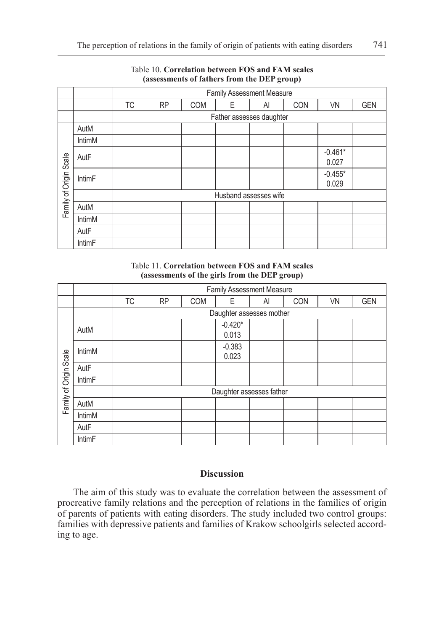|                        |               | Family Assessment Measure |           |            |   |    |     |                    |            |  |  |
|------------------------|---------------|---------------------------|-----------|------------|---|----|-----|--------------------|------------|--|--|
|                        |               | ТC                        | <b>RP</b> | <b>COM</b> | E | Al | CON | <b>VN</b>          | <b>GEN</b> |  |  |
|                        |               | Father assesses daughter  |           |            |   |    |     |                    |            |  |  |
| Family of Origin Scale | AutM          |                           |           |            |   |    |     |                    |            |  |  |
|                        | <b>IntimM</b> |                           |           |            |   |    |     |                    |            |  |  |
|                        | AutF          |                           |           |            |   |    |     | $-0.461*$<br>0.027 |            |  |  |
|                        | IntimF        |                           |           |            |   |    |     | $-0.455*$<br>0.029 |            |  |  |
|                        |               | Husband assesses wife     |           |            |   |    |     |                    |            |  |  |
|                        | AutM          |                           |           |            |   |    |     |                    |            |  |  |
|                        | IntimM        |                           |           |            |   |    |     |                    |            |  |  |
|                        | AutF          |                           |           |            |   |    |     |                    |            |  |  |
|                        | IntimF        |                           |           |            |   |    |     |                    |            |  |  |

# Table 10. **Correlation between FOS and FAM scales (assessments of fathers from the DEP group)**

Table 11. **Correlation between FOS and FAM scales (assessments of the girls from the DEP group)**

|                          |               | Family Assessment Measure |           |            |                    |    |            |           |            |  |  |
|--------------------------|---------------|---------------------------|-----------|------------|--------------------|----|------------|-----------|------------|--|--|
|                          |               | <b>TC</b>                 | <b>RP</b> | <b>COM</b> | E                  | Al | <b>CON</b> | <b>VN</b> | <b>GEN</b> |  |  |
| Daughter assesses mother |               |                           |           |            |                    |    |            |           |            |  |  |
| Family of Origin Scale   | AutM          |                           |           |            | $-0.420*$<br>0.013 |    |            |           |            |  |  |
|                          | IntimM        |                           |           |            | $-0.383$<br>0.023  |    |            |           |            |  |  |
|                          | AutF          |                           |           |            |                    |    |            |           |            |  |  |
|                          | IntimF        |                           |           |            |                    |    |            |           |            |  |  |
|                          |               | Daughter assesses father  |           |            |                    |    |            |           |            |  |  |
|                          | AutM          |                           |           |            |                    |    |            |           |            |  |  |
|                          | IntimM        |                           |           |            |                    |    |            |           |            |  |  |
|                          | AutF          |                           |           |            |                    |    |            |           |            |  |  |
|                          | <b>IntimF</b> |                           |           |            |                    |    |            |           |            |  |  |

# **Discussion**

The aim of this study was to evaluate the correlation between the assessment of procreative family relations and the perception of relations in the families of origin of parents of patients with eating disorders. The study included two control groups: families with depressive patients and families of Krakow schoolgirls selected according to age.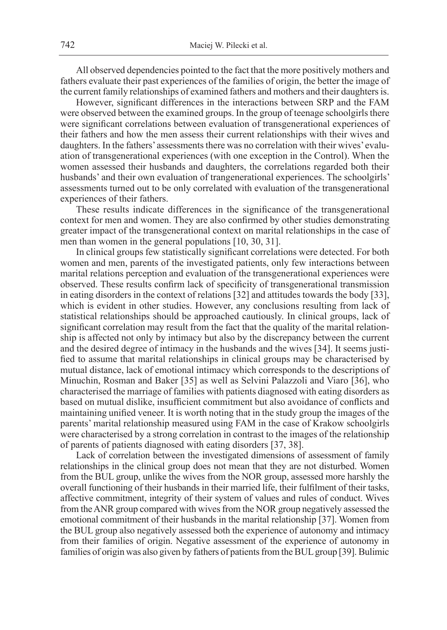All observed dependencies pointed to the fact that the more positively mothers and fathers evaluate their past experiences of the families of origin, the better the image of the current family relationships of examined fathers and mothers and their daughters is.

However, significant differences in the interactions between SRP and the FAM were observed between the examined groups. In the group of teenage schoolgirls there were significant correlations between evaluation of transgenerational experiences of their fathers and how the men assess their current relationships with their wives and daughters. In the fathers' assessments there was no correlation with their wives' evaluation of transgenerational experiences (with one exception in the Control). When the women assessed their husbands and daughters, the correlations regarded both their husbands' and their own evaluation of trangenerational experiences. The schoolgirls' assessments turned out to be only correlated with evaluation of the transgenerational experiences of their fathers.

These results indicate differences in the significance of the transgenerational context for men and women. They are also confirmed by other studies demonstrating greater impact of the transgenerational context on marital relationships in the case of men than women in the general populations [10, 30, 31].

In clinical groups few statistically significant correlations were detected. For both women and men, parents of the investigated patients, only few interactions between marital relations perception and evaluation of the transgenerational experiences were observed. These results confirm lack of specificity of transgenerational transmission in eating disorders in the context of relations [32] and attitudes towards the body [33], which is evident in other studies. However, any conclusions resulting from lack of statistical relationships should be approached cautiously. In clinical groups, lack of significant correlation may result from the fact that the quality of the marital relationship is affected not only by intimacy but also by the discrepancy between the current and the desired degree of intimacy in the husbands and the wives [34]. It seems justified to assume that marital relationships in clinical groups may be characterised by mutual distance, lack of emotional intimacy which corresponds to the descriptions of Minuchin, Rosman and Baker [35] as well as Selvini Palazzoli and Viaro [36], who characterised the marriage of families with patients diagnosed with eating disorders as based on mutual dislike, insufficient commitment but also avoidance of conflicts and maintaining unified veneer. It is worth noting that in the study group the images of the parents' marital relationship measured using FAM in the case of Krakow schoolgirls were characterised by a strong correlation in contrast to the images of the relationship of parents of patients diagnosed with eating disorders [37, 38].

Lack of correlation between the investigated dimensions of assessment of family relationships in the clinical group does not mean that they are not disturbed. Women from the BUL group, unlike the wives from the NOR group, assessed more harshly the overall functioning of their husbands in their married life, their fulfilment of their tasks, affective commitment, integrity of their system of values and rules of conduct. Wives from the ANR group compared with wives from the NOR group negatively assessed the emotional commitment of their husbands in the marital relationship [37]. Women from the BUL group also negatively assessed both the experience of autonomy and intimacy from their families of origin. Negative assessment of the experience of autonomy in families of origin was also given by fathers of patients from the BUL group [39]. Bulimic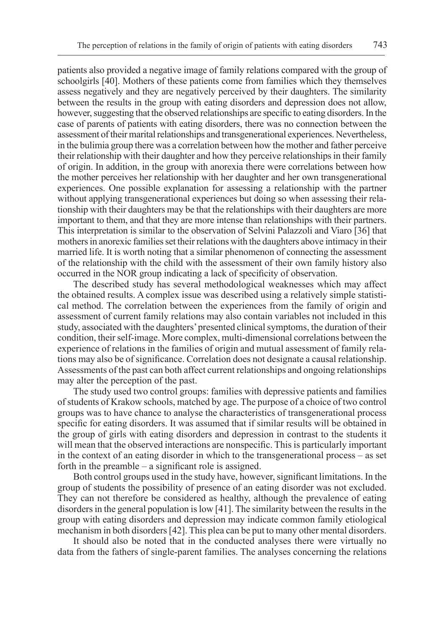patients also provided a negative image of family relations compared with the group of schoolgirls [40]. Mothers of these patients come from families which they themselves assess negatively and they are negatively perceived by their daughters. The similarity between the results in the group with eating disorders and depression does not allow, however, suggesting that the observed relationships are specific to eating disorders. In the case of parents of patients with eating disorders, there was no connection between the assessment of their marital relationships and transgenerational experiences. Nevertheless, in the bulimia group there was a correlation between how the mother and father perceive their relationship with their daughter and how they perceive relationships in their family of origin. In addition, in the group with anorexia there were correlations between how the mother perceives her relationship with her daughter and her own transgenerational experiences. One possible explanation for assessing a relationship with the partner without applying transgenerational experiences but doing so when assessing their relationship with their daughters may be that the relationships with their daughters are more important to them, and that they are more intense than relationships with their partners. This interpretation is similar to the observation of Selvini Palazzoli and Viaro [36] that mothers in anorexic families set their relations with the daughters above intimacy in their married life. It is worth noting that a similar phenomenon of connecting the assessment of the relationship with the child with the assessment of their own family history also occurred in the NOR group indicating a lack of specificity of observation.

The described study has several methodological weaknesses which may affect the obtained results. A complex issue was described using a relatively simple statistical method. The correlation between the experiences from the family of origin and assessment of current family relations may also contain variables not included in this study, associated with the daughters' presented clinical symptoms, the duration of their condition, their self-image. More complex, multi-dimensional correlations between the experience of relations in the families of origin and mutual assessment of family relations may also be of significance. Correlation does not designate a causal relationship. Assessments of the past can both affect current relationships and ongoing relationships may alter the perception of the past.

The study used two control groups: families with depressive patients and families of students of Krakow schools, matched by age. The purpose of a choice of two control groups was to have chance to analyse the characteristics of transgenerational process specific for eating disorders. It was assumed that if similar results will be obtained in the group of girls with eating disorders and depression in contrast to the students it will mean that the observed interactions are nonspecific. This is particularly important in the context of an eating disorder in which to the transgenerational process – as set forth in the preamble – a significant role is assigned.

Both control groups used in the study have, however, significant limitations. In the group of students the possibility of presence of an eating disorder was not excluded. They can not therefore be considered as healthy, although the prevalence of eating disorders in the general population is low [41]. The similarity between the results in the group with eating disorders and depression may indicate common family etiological mechanism in both disorders [42]. This plea can be put to many other mental disorders.

It should also be noted that in the conducted analyses there were virtually no data from the fathers of single-parent families. The analyses concerning the relations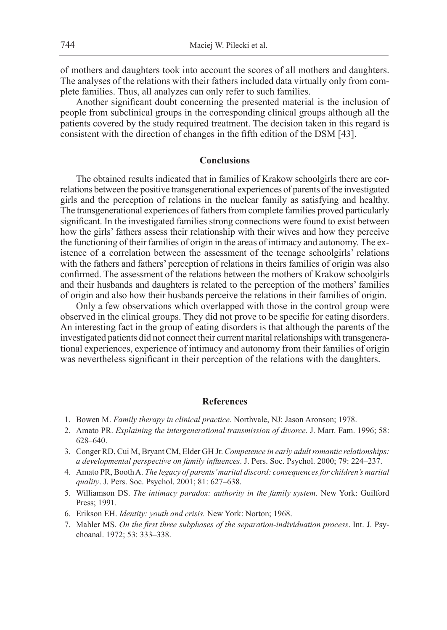of mothers and daughters took into account the scores of all mothers and daughters. The analyses of the relations with their fathers included data virtually only from complete families. Thus, all analyzes can only refer to such families.

Another significant doubt concerning the presented material is the inclusion of people from subclinical groups in the corresponding clinical groups although all the patients covered by the study required treatment. The decision taken in this regard is consistent with the direction of changes in the fifth edition of the DSM [43].

# **Conclusions**

The obtained results indicated that in families of Krakow schoolgirls there are correlations between the positive transgenerational experiences of parents of the investigated girls and the perception of relations in the nuclear family as satisfying and healthy. The transgenerational experiences of fathers from complete families proved particularly significant. In the investigated families strong connections were found to exist between how the girls' fathers assess their relationship with their wives and how they perceive the functioning of their families of origin in the areas of intimacy and autonomy. The existence of a correlation between the assessment of the teenage schoolgirls' relations with the fathers and fathers' perception of relations in theirs families of origin was also confirmed. The assessment of the relations between the mothers of Krakow schoolgirls and their husbands and daughters is related to the perception of the mothers' families of origin and also how their husbands perceive the relations in their families of origin.

Only a few observations which overlapped with those in the control group were observed in the clinical groups. They did not prove to be specific for eating disorders. An interesting fact in the group of eating disorders is that although the parents of the investigated patients did not connect their current marital relationships with transgenerational experiences, experience of intimacy and autonomy from their families of origin was nevertheless significant in their perception of the relations with the daughters.

#### **References**

- 1. Bowen M. *Family therapy in clinical practice.* Northvale, NJ: Jason Aronson; 1978.
- 2. Amato PR. *Explaining the intergenerational transmission of divorce*. J. Marr. Fam. 1996; 58: 628–640.
- 3. Conger RD, Cui M, Bryant CM, Elder GH Jr. *Competence in early adult romantic relationships: a developmental perspective on family influences*. J. Pers. Soc. Psychol. 2000; 79: 224–237.
- 4. Amato PR, Booth A. *The legacy of parents' marital discord: consequences for children's marital quality*. J. Pers. Soc. Psychol. 2001; 81: 627–638.
- 5. Williamson DS. *The intimacy paradox: authority in the family system.* New York: Guilford Press; 1991.
- 6. Erikson EH. *Identity: youth and crisis.* New York: Norton; 1968.
- 7. Mahler MS. *On the first three subphases of the separation-individuation process*. Int. J. Psychoanal. 1972; 53: 333–338.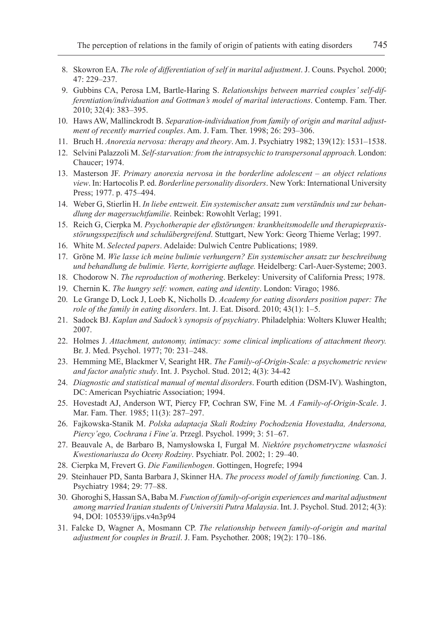- 8. Skowron EA. *The role of differentiation of self in marital adjustment*. J. Couns. Psychol*.* 2000; 47: 229–237.
- 9. Gubbins CA, Perosa LM, Bartle-Haring S. *Relationships between married couples' self-differentiation/individuation and Gottman's model of marital interactions*. Contemp. Fam. Ther. 2010; 32(4): 383–395.
- 10. Haws AW, Mallinckrodt B. *Separation-individuation from family of origin and marital adjustment of recently married couples*. Am. J. Fam. Ther. 1998; 26: 293–306.
- 11. Bruch H. *Anorexia nervosa: therapy and theory*. Am. J. Psychiatry 1982; 139(12): 1531–1538.
- 12. Selvini Palazzoli M. *Self-starvation: from the intrapsychic to transpersonal approach.* London: Chaucer; 1974.
- 13. Masterson JF. *Primary anorexia nervosa in the borderline adolescent – an object relations view*. In: Hartocolis P. ed. *Borderline personality disorders*. New York: International University Press; 1977. p. 475–494.
- 14. Weber G, Stierlin H. *In liebe entzweit. Ein systemischer ansatz zum verständnis und zur behandlung der magersuchtfamilie*. Reinbek: Rowohlt Verlag; 1991.
- 15. Reich G, Cierpka M. *Psychotherapie der eßstörungen: krankheitsmodelle und therapiepraxisstörungsspezifisch und schulübergreifend*. Stuttgart, New York: Georg Thieme Verlag; 1997.
- 16. White M. *Selected papers*. Adelaide: Dulwich Centre Publications; 1989.
- 17. Gröne M. *Wie lasse ich meine bulimie verhungern? Ein systemischer ansatz zur beschreibung und behandlung de bulimie. Vierte, korrigierte auflage.* Heidelberg: Carl-Auer-Systeme; 2003.
- 18. Chodorow N. *The reproduction of mothering*. Berkeley: University of California Press; 1978.
- 19. Chernin K. *The hungry self: women, eating and identity*. London: Virago; 1986.
- 20. Le Grange D, Lock J, Loeb K, Nicholls D. *Academy for eating disorders position paper: The role of the family in eating disorders*. Int. J. Eat. Disord. 2010; 43(1): 1–5.
- 21. Sadock BJ. *Kaplan and Sadock's synopsis of psychiatry*. Philadelphia: Wolters Kluwer Health; 2007.
- 22. Holmes J. *Attachment, autonomy, intimacy: some clinical implications of attachment theory.* Br. J. Med. Psychol. 1977; 70: 231–248.
- 23. Hemming ME, Blackmer V, Searight HR. *The Family-of-Origin-Scale: a psychometric review and factor analytic study*. Int. J. Psychol. Stud. 2012; 4(3): 34-42
- 24. *Diagnostic and statistical manual of mental disorders*. Fourth edition (DSM-IV). Washington, DC: American Psychiatric Association; 1994.
- 25. Hovestadt AJ, Anderson WT, Piercy FP, Cochran SW, Fine M. *A Family-of-Origin-Scale*. J. Mar. Fam. Ther*.* 1985; 11(3): 287–297.
- 26. Fajkowska-Stanik M. *Polska adaptacja Skali Rodziny Pochodzenia Hovestadta, Andersona, Piercy'ego, Cochrana i Fine'a*. Przegl. Psychol. 1999; 3: 51–67.
- 27. Beauvale A, de Barbaro B, Namysłowska I, Furgał M. *Niektóre psychometryczne własności Kwestionariusza do Oceny Rodziny*. Psychiatr. Pol. 2002; 1: 29–40.
- 28. Cierpka M, Frevert G. *Die Familienbogen*. Gottingen, Hogrefe; 1994
- 29. Steinhauer PD, Santa Barbara J, Skinner HA. *The process model of family functioning.* Can. J. Psychiatry 1984; 29: 77–88.
- 30. Ghoroghi S, Hassan SA, Baba M. *Function of family-of-origin experiences and marital adjustment among married Iranian students of Universiti Putra Malaysia*. Int. J. Psychol. Stud. 2012; 4(3): 94, DOI: 105539/ijps.v4n3p94
- 31. Falcke D, Wagner A, Mosmann CP. *The relationship between family-of-origin and marital adjustment for couples in Brazil*. J. Fam. Psychother. 2008; 19(2): 170–186.